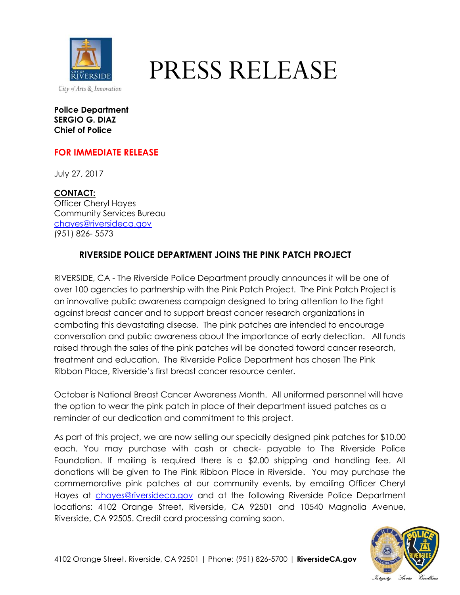

## **PRESS RELEASE**

**Police Department SERGIO G. DIAZ Chief of Police**

## **FOR IMMEDIATE RELEASE**

July 27, 2017

**CONTACT:** Officer Cheryl Hayes Community Services Bureau [chayes@riversideca.gov](mailto:chayes@riversideca.gov) (951) 826- 5573

## **RIVERSIDE POLICE DEPARTMENT JOINS THE PINK PATCH PROJECT**

RIVERSIDE, CA - The Riverside Police Department proudly announces it will be one of over 100 agencies to partnership with the Pink Patch Project. The Pink Patch Project is an innovative public awareness campaign designed to bring attention to the fight against breast cancer and to support breast cancer research organizations in combating this devastating disease. The pink patches are intended to encourage conversation and public awareness about the importance of early detection. All funds raised through the sales of the pink patches will be donated toward cancer research, treatment and education. The Riverside Police Department has chosen The Pink Ribbon Place, Riverside's first breast cancer resource center.

October is National Breast Cancer Awareness Month. All uniformed personnel will have the option to wear the pink patch in place of their department issued patches as a reminder of our dedication and commitment to this project.

As part of this project, we are now selling our specially designed pink patches for \$10.00 each. You may purchase with cash or check- payable to The Riverside Police Foundation. If mailing is required there is a \$2.00 shipping and handling fee. All donations will be given to The Pink Ribbon Place in Riverside. You may purchase the commemorative pink patches at our community events, by emailing Officer Cheryl Hayes at [chayes@riversideca.gov](mailto:chayes@riversideca.gov) and at the following Riverside Police Department locations: 4102 Orange Street, Riverside, CA 92501 and 10540 Magnolia Avenue, Riverside, CA 92505. Credit card processing coming soon.